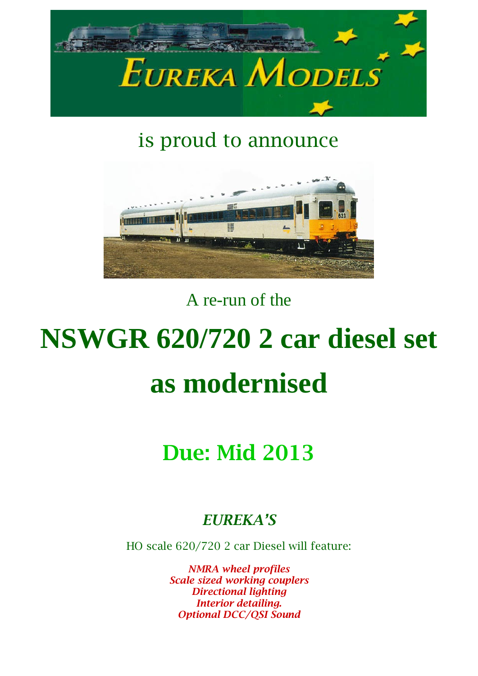

### is proud to announce



### A re-run of the

# **NSWGR 620/720 2 car diesel set as modernised**

## Due: Mid 2013

#### *EUREKA'S*

HO scale 620/720 2 car Diesel will feature:

*NMRA wheel profiles Scale sized working couplers Directional lighting Interior detailing. Optional DCC/QSI Sound*